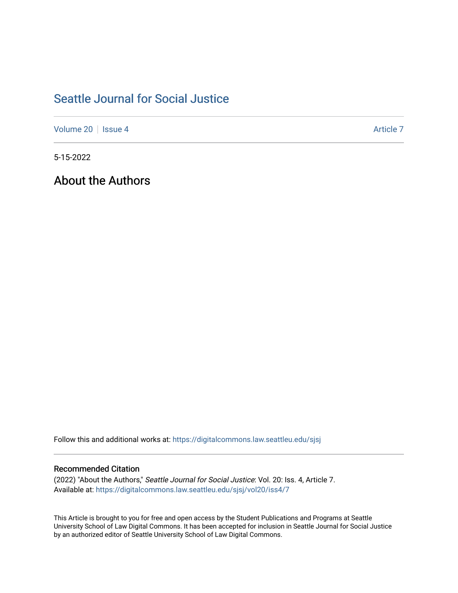# [Seattle Journal for Social Justice](https://digitalcommons.law.seattleu.edu/sjsj)

[Volume 20](https://digitalcommons.law.seattleu.edu/sjsj/vol20) | [Issue 4](https://digitalcommons.law.seattleu.edu/sjsj/vol20/iss4) Article 7

5-15-2022

About the Authors

Follow this and additional works at: [https://digitalcommons.law.seattleu.edu/sjsj](https://digitalcommons.law.seattleu.edu/sjsj?utm_source=digitalcommons.law.seattleu.edu%2Fsjsj%2Fvol20%2Fiss4%2F7&utm_medium=PDF&utm_campaign=PDFCoverPages)

# Recommended Citation

(2022) "About the Authors," Seattle Journal for Social Justice: Vol. 20: Iss. 4, Article 7. Available at: [https://digitalcommons.law.seattleu.edu/sjsj/vol20/iss4/7](https://digitalcommons.law.seattleu.edu/sjsj/vol20/iss4/7?utm_source=digitalcommons.law.seattleu.edu%2Fsjsj%2Fvol20%2Fiss4%2F7&utm_medium=PDF&utm_campaign=PDFCoverPages)

This Article is brought to you for free and open access by the Student Publications and Programs at Seattle University School of Law Digital Commons. It has been accepted for inclusion in Seattle Journal for Social Justice by an authorized editor of Seattle University School of Law Digital Commons.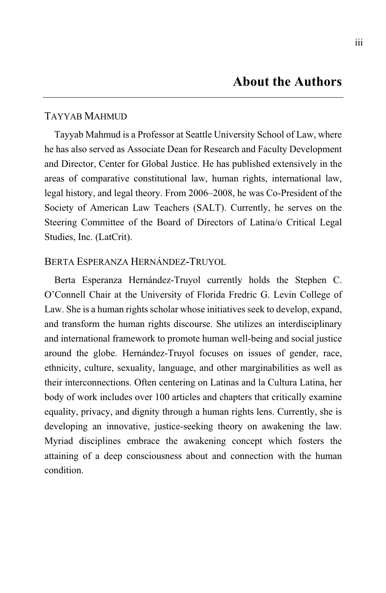### TAYYAB MAHMUD

Tayyab Mahmud is a Professor at Seattle University School of Law, where he has also served as Associate Dean for Research and Faculty Development and Director, Center for Global Justice. He has published extensively in the areas of comparative constitutional law, human rights, international law, legal history, and legal theory. From 2006–2008, he was Co-President of the Society of American Law Teachers (SALT). Currently, he serves on the Steering Committee of the Board of Directors of Latina/o Critical Legal Studies, Inc. (LatCrit).

#### BERTA ESPERANZA HERNÁNDEZ-TRUYOL

Berta Esperanza Hernández-Truyol currently holds the Stephen C. O'Connell Chair at the University of Florida Fredric G. Levin College of Law. She is a human rights scholar whose initiatives seek to develop, expand, and transform the human rights discourse. She utilizes an interdisciplinary and international framework to promote human well-being and social justice around the globe. Hernández-Truyol focuses on issues of gender, race, ethnicity, culture, sexuality, language, and other marginabilities as well as their interconnections. Often centering on Latinas and la Cultura Latina, her body of work includes over 100 articles and chapters that critically examine equality, privacy, and dignity through a human rights lens. Currently, she is developing an innovative, justice-seeking theory on awakening the law. Myriad disciplines embrace the awakening concept which fosters the attaining of a deep consciousness about and connection with the human condition.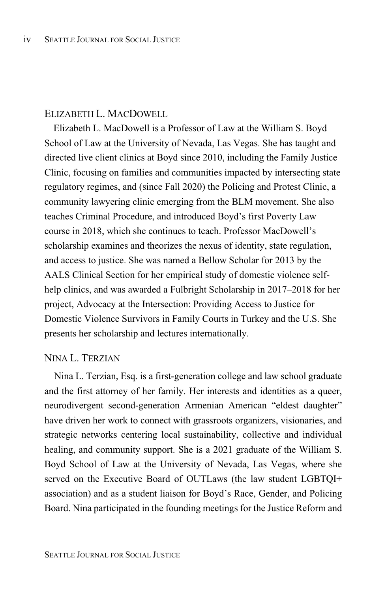### ELIZABETH L. MACDOWELL

Elizabeth L. MacDowell is a Professor of Law at the William S. Boyd School of Law at the University of Nevada, Las Vegas. She has taught and directed live client clinics at Boyd since 2010, including the Family Justice Clinic, focusing on families and communities impacted by intersecting state regulatory regimes, and (since Fall 2020) the Policing and Protest Clinic, a community lawyering clinic emerging from the BLM movement. She also teaches Criminal Procedure, and introduced Boyd's first Poverty Law course in 2018, which she continues to teach. Professor MacDowell's scholarship examines and theorizes the nexus of identity, state regulation, and access to justice. She was named a Bellow Scholar for 2013 by the AALS Clinical Section for her empirical study of domestic violence selfhelp clinics, and was awarded a Fulbright Scholarship in 2017–2018 for her project, Advocacy at the Intersection: Providing Access to Justice for Domestic Violence Survivors in Family Courts in Turkey and the U.S. She presents her scholarship and lectures internationally.

# NINA L. TERZIAN

Nina L. Terzian, Esq. is a first-generation college and law school graduate and the first attorney of her family. Her interests and identities as a queer, neurodivergent second-generation Armenian American "eldest daughter" have driven her work to connect with grassroots organizers, visionaries, and strategic networks centering local sustainability, collective and individual healing, and community support. She is a 2021 graduate of the William S. Boyd School of Law at the University of Nevada, Las Vegas, where she served on the Executive Board of OUTLaws (the law student LGBTQI+ association) and as a student liaison for Boyd's Race, Gender, and Policing Board. Nina participated in the founding meetings for the Justice Reform and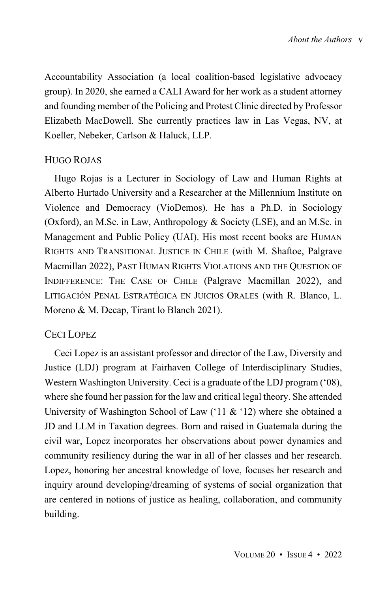Accountability Association (a local coalition-based legislative advocacy group). In 2020, she earned a CALI Award for her work as a student attorney and founding member of the Policing and Protest Clinic directed by Professor Elizabeth MacDowell. She currently practices law in Las Vegas, NV, at Koeller, Nebeker, Carlson & Haluck, LLP.

#### HUGO ROJAS

Hugo Rojas is a Lecturer in Sociology of Law and Human Rights at Alberto Hurtado University and a Researcher at the Millennium Institute on Violence and Democracy (VioDemos). He has a Ph.D. in Sociology (Oxford), an M.Sc. in Law, Anthropology & Society (LSE), and an M.Sc. in Management and Public Policy (UAI). His most recent books are HUMAN RIGHTS AND TRANSITIONAL JUSTICE IN CHILE (with M. Shaftoe, Palgrave Macmillan 2022), PAST HUMAN RIGHTS VIOLATIONS AND THE QUESTION OF INDIFFERENCE: THE CASE OF CHILE (Palgrave Macmillan 2022), and LITIGACIÓN PENAL ESTRATÉGICA EN JUICIOS ORALES (with R. Blanco, L. Moreno & M. Decap, Tirant lo Blanch 2021).

# CECI LOPEZ

Ceci Lopez is an assistant professor and director of the Law, Diversity and Justice (LDJ) program at Fairhaven College of Interdisciplinary Studies, Western Washington University. Ceci is a graduate of the LDJ program ('08), where she found her passion for the law and critical legal theory. She attended University of Washington School of Law ('11 & '12) where she obtained a JD and LLM in Taxation degrees. Born and raised in Guatemala during the civil war, Lopez incorporates her observations about power dynamics and community resiliency during the war in all of her classes and her research. Lopez, honoring her ancestral knowledge of love, focuses her research and inquiry around developing/dreaming of systems of social organization that are centered in notions of justice as healing, collaboration, and community building.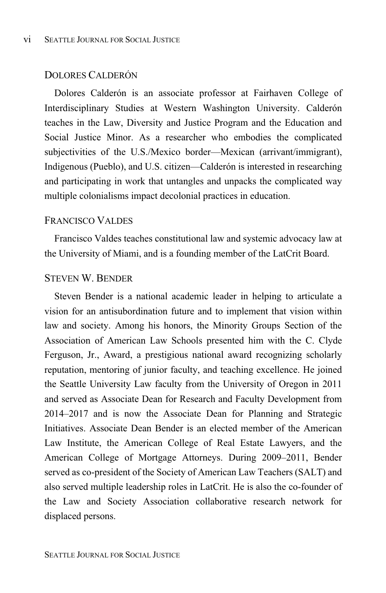# DOLORES CALDERÓN

Dolores Calderón is an associate professor at Fairhaven College of Interdisciplinary Studies at Western Washington University. Calderón teaches in the Law, Diversity and Justice Program and the Education and Social Justice Minor. As a researcher who embodies the complicated subjectivities of the U.S./Mexico border—Mexican (arrivant/immigrant), Indigenous (Pueblo), and U.S. citizen—Calderón is interested in researching and participating in work that untangles and unpacks the complicated way multiple colonialisms impact decolonial practices in education.

#### FRANCISCO VALDES

Francisco Valdes teaches constitutional law and systemic advocacy law at the University of Miami, and is a founding member of the LatCrit Board.

#### STEVEN W. BENDER

Steven Bender is a national academic leader in helping to articulate a vision for an antisubordination future and to implement that vision within law and society. Among his honors, the Minority Groups Section of the Association of American Law Schools presented him with the C. Clyde Ferguson, Jr., Award, a prestigious national award recognizing scholarly reputation, mentoring of junior faculty, and teaching excellence. He joined the Seattle University Law faculty from the University of Oregon in 2011 and served as Associate Dean for Research and Faculty Development from 2014–2017 and is now the Associate Dean for Planning and Strategic Initiatives. Associate Dean Bender is an elected member of the American Law Institute, the American College of Real Estate Lawyers, and the American College of Mortgage Attorneys. During 2009–2011, Bender served as co-president of the Society of American Law Teachers (SALT) and also served multiple leadership roles in LatCrit. He is also the co-founder of the Law and Society Association collaborative research network for displaced persons.